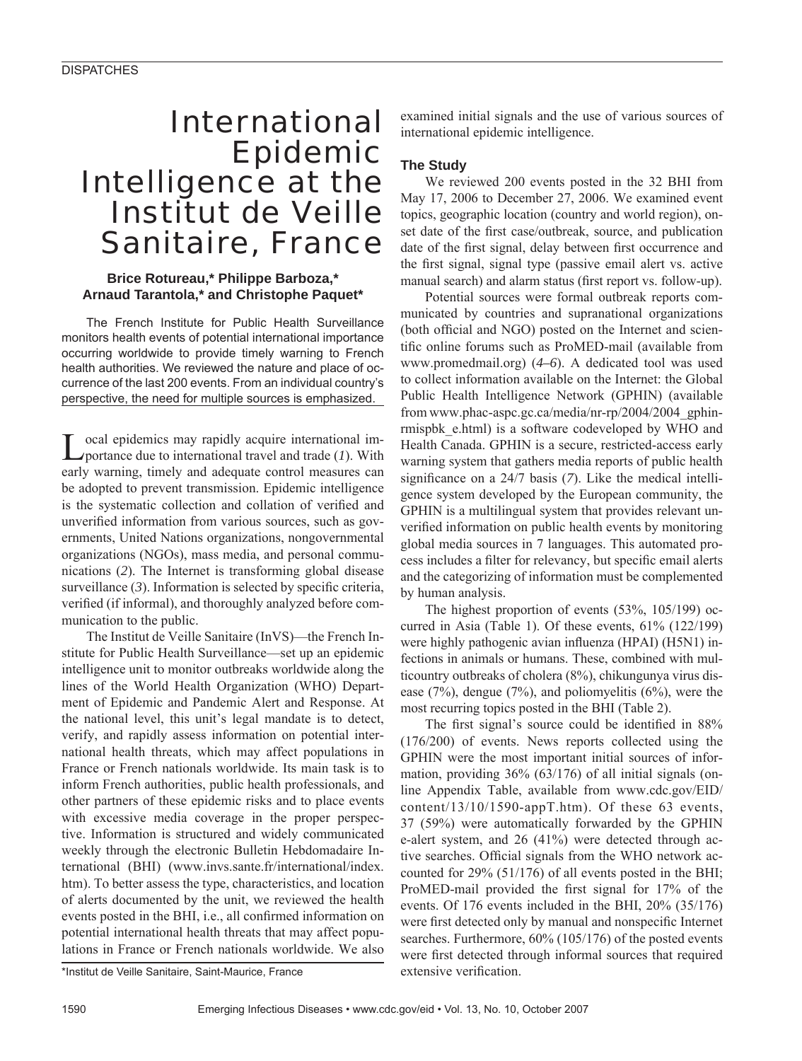# International Epidemic Intelligence at the Institut de Veille Sanitaire, France

#### **Brice Rotureau,\* Philippe Barboza,\* Arnaud Tarantola,\* and Christophe Paquet\***

The French Institute for Public Health Surveillance monitors health events of potential international importance occurring worldwide to provide timely warning to French health authorities. We reviewed the nature and place of occurrence of the last 200 events. From an individual country's perspective, the need for multiple sources is emphasized.

Local epidemics may rapidly acquire international im-portance due to international travel and trade (*1*). With early warning, timely and adequate control measures can be adopted to prevent transmission. Epidemic intelligence is the systematic collection and collation of verified and unverified information from various sources, such as governments, United Nations organizations, nongovernmental organizations (NGOs), mass media, and personal communications (*2*). The Internet is transforming global disease surveillance  $(3)$ . Information is selected by specific criteria, verified (if informal), and thoroughly analyzed before communication to the public.

The Institut de Veille Sanitaire (InVS)—the French Institute for Public Health Surveillance—set up an epidemic intelligence unit to monitor outbreaks worldwide along the lines of the World Health Organization (WHO) Department of Epidemic and Pandemic Alert and Response. At the national level, this unit's legal mandate is to detect, verify, and rapidly assess information on potential international health threats, which may affect populations in France or French nationals worldwide. Its main task is to inform French authorities, public health professionals, and other partners of these epidemic risks and to place events with excessive media coverage in the proper perspective. Information is structured and widely communicated weekly through the electronic Bulletin Hebdomadaire International (BHI) (www.invs.sante.fr/international/index. htm). To better assess the type, characteristics, and location of alerts documented by the unit, we reviewed the health events posted in the BHI, i.e., all confirmed information on potential international health threats that may affect populations in France or French nationals worldwide. We also examined initial signals and the use of various sources of international epidemic intelligence.

## **The Study**

We reviewed 200 events posted in the 32 BHI from May 17, 2006 to December 27, 2006. We examined event topics, geographic location (country and world region), onset date of the first case/outbreak, source, and publication date of the first signal, delay between first occurrence and the first signal, signal type (passive email alert vs. active manual search) and alarm status (first report vs. follow-up).

Potential sources were formal outbreak reports communicated by countries and supranational organizations (both official and NGO) posted on the Internet and scientific online forums such as ProMED-mail (available from www.promedmail.org) (*4–6*). A dedicated tool was used to collect information available on the Internet: the Global Public Health Intelligence Network (GPHIN) (available from www.phac-aspc.gc.ca/media/nr-rp/2004/2004\_gphinrmispbk\_e.html) is a software codeveloped by WHO and Health Canada. GPHIN is a secure, restricted-access early warning system that gathers media reports of public health significance on a 24/7 basis (7). Like the medical intelligence system developed by the European community, the GPHIN is a multilingual system that provides relevant unverified information on public health events by monitoring global media sources in 7 languages. This automated process includes a filter for relevancy, but specific email alerts and the categorizing of information must be complemented by human analysis.

The highest proportion of events (53%, 105/199) occurred in Asia (Table 1). Of these events, 61% (122/199) were highly pathogenic avian influenza (HPAI) (H5N1) infections in animals or humans. These, combined with multicountry outbreaks of cholera (8%), chikungunya virus disease (7%), dengue (7%), and poliomyelitis (6%), were the most recurring topics posted in the BHI (Table 2).

The first signal's source could be identified in 88% (176/200) of events. News reports collected using the GPHIN were the most important initial sources of information, providing 36% (63/176) of all initial signals (online Appendix Table, available from www.cdc.gov/EID/ content/13/10/1590-appT.htm). Of these 63 events, 37 (59%) were automatically forwarded by the GPHIN e-alert system, and 26 (41%) were detected through active searches. Official signals from the WHO network accounted for 29% (51/176) of all events posted in the BHI; ProMED-mail provided the first signal for 17% of the events. Of 176 events included in the BHI, 20% (35/176) were first detected only by manual and nonspecific Internet searches. Furthermore,  $60\%$  (105/176) of the posted events were first detected through informal sources that required extensive verification.

<sup>\*</sup>Institut de Veille Sanitaire, Saint-Maurice, France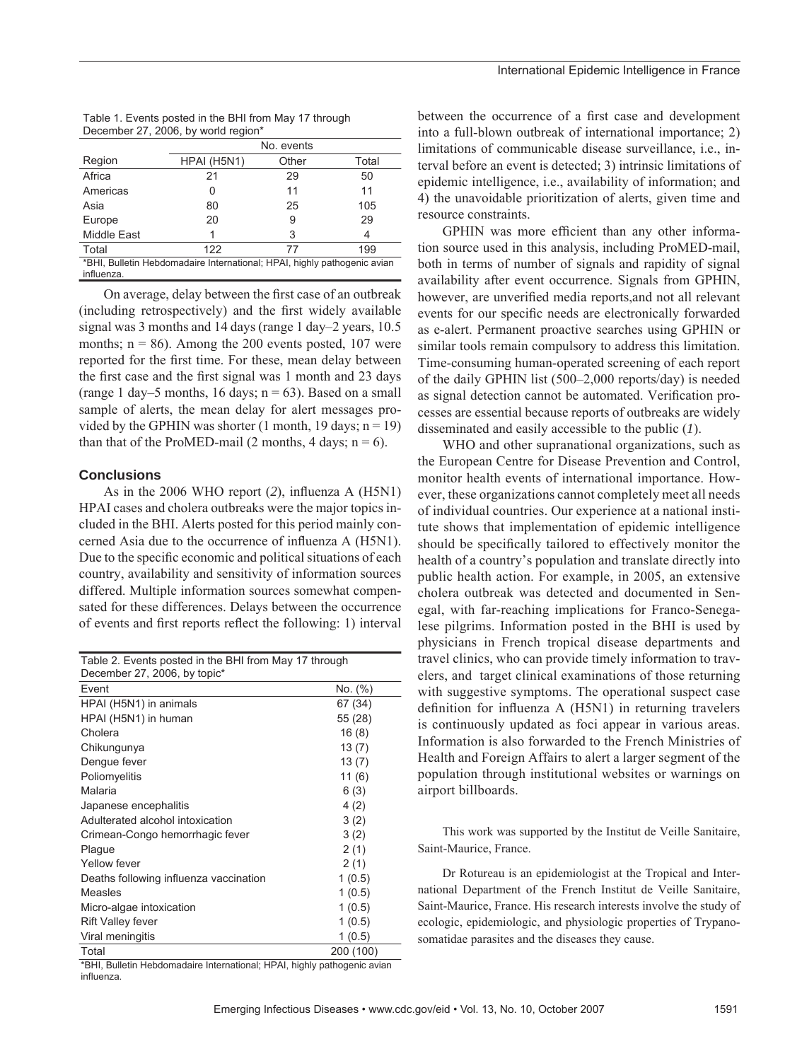| December 27, 2000, DV WONG region |             |       |       |  |
|-----------------------------------|-------------|-------|-------|--|
|                                   | No. events  |       |       |  |
| Region                            | HPAI (H5N1) | Other | Total |  |
| Africa                            | 21          | 29    | 50    |  |
| Americas                          |             | 11    | 11    |  |
| Asia                              | 80          | 25    | 105   |  |
| Europe                            | 20          | 9     | 29    |  |
| <b>Middle East</b>                |             | 3     | 4     |  |
| Total                             | 122         | 77    | 199   |  |

\*BHI, Bulletin Hebdomadaire International; HPAI, highly pathogenic avian

| Table 1. Events posted in the BHI from May 17 through |  |
|-------------------------------------------------------|--|
| December 27, 2006, by world region*                   |  |

On average, delay between the first case of an outbreak (including retrospectively) and the first widely available signal was 3 months and 14 days (range 1 day–2 years, 10.5 months;  $n = 86$ ). Among the 200 events posted, 107 were reported for the first time. For these, mean delay between the first case and the first signal was 1 month and 23 days (range 1 day–5 months, 16 days;  $n = 63$ ). Based on a small sample of alerts, the mean delay for alert messages provided by the GPHIN was shorter  $(1 \text{ month}, 19 \text{ days}; n = 19)$ than that of the ProMED-mail (2 months, 4 days;  $n = 6$ ).

#### **Conclusions**

influenza.

As in the 2006 WHO report (2), influenza A (H5N1) HPAI cases and cholera outbreaks were the major topics included in the BHI. Alerts posted for this period mainly concerned Asia due to the occurrence of influenza A (H5N1). Due to the specific economic and political situations of each country, availability and sensitivity of information sources differed. Multiple information sources somewhat compensated for these differences. Delays between the occurrence of events and first reports reflect the following: 1) interval

| Table 2. Events posted in the BHI from May 17 through<br>December 27, 2006, by topic* |           |  |
|---------------------------------------------------------------------------------------|-----------|--|
| Event                                                                                 | No. (%)   |  |
| HPAI (H5N1) in animals                                                                | 67 (34)   |  |
| HPAI (H5N1) in human                                                                  | 55 (28)   |  |
| Cholera                                                                               | 16(8)     |  |
| Chikungunya                                                                           | 13(7)     |  |
| Dengue fever                                                                          | 13(7)     |  |
| Poliomyelitis                                                                         | 11(6)     |  |
| Malaria                                                                               | 6(3)      |  |
| Japanese encephalitis                                                                 | 4(2)      |  |
| Adulterated alcohol intoxication                                                      | 3(2)      |  |
| Crimean-Congo hemorrhagic fever                                                       | 3(2)      |  |
| Plaque                                                                                | 2(1)      |  |
| Yellow fever                                                                          | 2(1)      |  |
| Deaths following influenza vaccination                                                | 1(0.5)    |  |
| Measles                                                                               | 1(0.5)    |  |
| Micro-algae intoxication                                                              | 1(0.5)    |  |
| <b>Rift Valley fever</b>                                                              | 1(0.5)    |  |
| Viral meningitis                                                                      | 1(0.5)    |  |
| Total                                                                                 | 200 (100) |  |

\*BHI, Bulletin Hebdomadaire International; HPAI, highly pathogenic avian influenza.

between the occurrence of a first case and development into a full-blown outbreak of international importance; 2) limitations of communicable disease surveillance, i.e., interval before an event is detected; 3) intrinsic limitations of epidemic intelligence, i.e., availability of information; and 4) the unavoidable prioritization of alerts, given time and resource constraints.

GPHIN was more efficient than any other information source used in this analysis, including ProMED-mail, both in terms of number of signals and rapidity of signal availability after event occurrence. Signals from GPHIN, however, are unverified media reports, and not all relevant events for our specific needs are electronically forwarded as e-alert. Permanent proactive searches using GPHIN or similar tools remain compulsory to address this limitation. Time-consuming human-operated screening of each report of the daily GPHIN list (500–2,000 reports/day) is needed as signal detection cannot be automated. Verification processes are essential because reports of outbreaks are widely disseminated and easily accessible to the public (*1*).

WHO and other supranational organizations, such as the European Centre for Disease Prevention and Control, monitor health events of international importance. However, these organizations cannot completely meet all needs of individual countries. Our experience at a national institute shows that implementation of epidemic intelligence should be specifically tailored to effectively monitor the health of a country's population and translate directly into public health action. For example, in 2005, an extensive cholera outbreak was detected and documented in Senegal, with far-reaching implications for Franco-Senegalese pilgrims. Information posted in the BHI is used by physicians in French tropical disease departments and travel clinics, who can provide timely information to travelers, and target clinical examinations of those returning with suggestive symptoms. The operational suspect case definition for influenza  $A$  (H5N1) in returning travelers is continuously updated as foci appear in various areas. Information is also forwarded to the French Ministries of Health and Foreign Affairs to alert a larger segment of the population through institutional websites or warnings on airport billboards.

This work was supported by the Institut de Veille Sanitaire, Saint-Maurice, France.

Dr Rotureau is an epidemiologist at the Tropical and International Department of the French Institut de Veille Sanitaire, Saint-Maurice, France. His research interests involve the study of ecologic, epidemiologic, and physiologic properties of Trypanosomatidae parasites and the diseases they cause.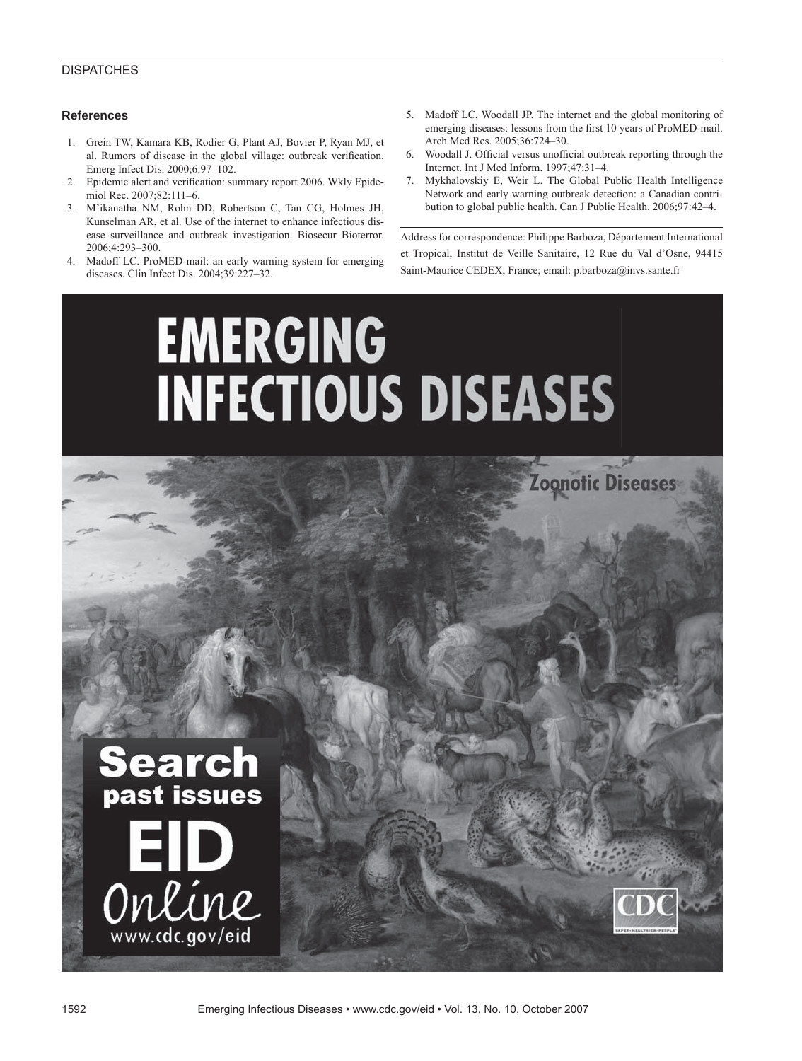#### **DISPATCHES**

#### **References**

- 1. Grein TW, Kamara KB, Rodier G, Plant AJ, Bovier P, Ryan MJ, et al. Rumors of disease in the global village: outbreak verification. Emerg Infect Dis. 2000;6:97–102.
- 2. Epidemic alert and verification: summary report 2006. Wkly Epidemiol Rec. 2007;82:111–6.
- 3. M'ikanatha NM, Rohn DD, Robertson C, Tan CG, Holmes JH, Kunselman AR, et al. Use of the internet to enhance infectious disease surveillance and outbreak investigation. Biosecur Bioterror. 2006;4:293–300.
- 4. Madoff LC. ProMED-mail: an early warning system for emerging diseases. Clin Infect Dis. 2004;39:227–32.
- 5. Madoff LC, Woodall JP. The internet and the global monitoring of emerging diseases: lessons from the first 10 years of ProMED-mail. Arch Med Res. 2005;36:724–30.
- 6. Woodall J. Official versus unofficial outbreak reporting through the Internet. Int J Med Inform. 1997;47:31–4.
- 7. Mykhalovskiy E, Weir L. The Global Public Health Intelligence Network and early warning outbreak detection: a Canadian contribution to global public health. Can J Public Health. 2006;97:42–4.

Address for correspondence: Philippe Barboza, Département International et Tropical, Institut de Veille Sanitaire, 12 Rue du Val d'Osne, 94415 Saint-Maurice CEDEX, France; email: p.barboza@invs.sante.fr